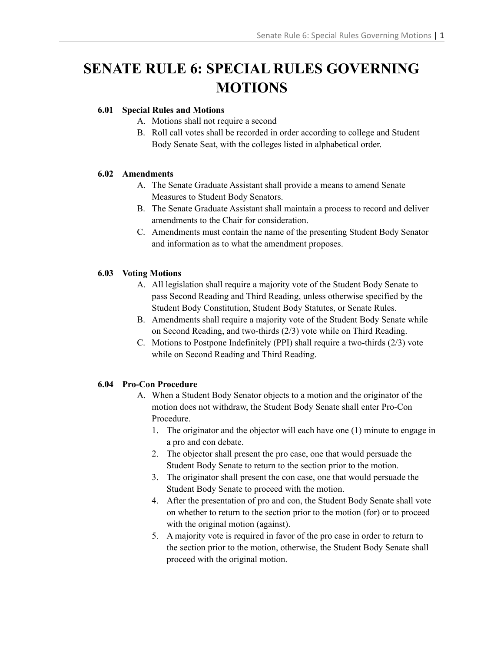# **SENATE RULE 6: SPECIAL RULES GOVERNING MOTIONS**

## **6.01 Special Rules and Motions**

- A. Motions shall not require a second
- B. Roll call votes shall be recorded in order according to college and Student Body Senate Seat, with the colleges listed in alphabetical order.

### **6.02 Amendments**

- A. The Senate Graduate Assistant shall provide a means to amend Senate Measures to Student Body Senators.
- B. The Senate Graduate Assistant shall maintain a process to record and deliver amendments to the Chair for consideration.
- C. Amendments must contain the name of the presenting Student Body Senator and information as to what the amendment proposes.

### **6.03 Voting Motions**

- A. All legislation shall require a majority vote of the Student Body Senate to pass Second Reading and Third Reading, unless otherwise specified by the Student Body Constitution, Student Body Statutes, or Senate Rules.
- B. Amendments shall require a majority vote of the Student Body Senate while on Second Reading, and two-thirds (2/3) vote while on Third Reading.
- C. Motions to Postpone Indefinitely (PPI) shall require a two-thirds (2/3) vote while on Second Reading and Third Reading.

# **6.04 Pro-Con Procedure**

- A. When a Student Body Senator objects to a motion and the originator of the motion does not withdraw, the Student Body Senate shall enter Pro-Con Procedure.
	- 1. The originator and the objector will each have one (1) minute to engage in a pro and con debate.
	- 2. The objector shall present the pro case, one that would persuade the Student Body Senate to return to the section prior to the motion.
	- 3. The originator shall present the con case, one that would persuade the Student Body Senate to proceed with the motion.
	- 4. After the presentation of pro and con, the Student Body Senate shall vote on whether to return to the section prior to the motion (for) or to proceed with the original motion (against).
	- 5. A majority vote is required in favor of the pro case in order to return to the section prior to the motion, otherwise, the Student Body Senate shall proceed with the original motion.